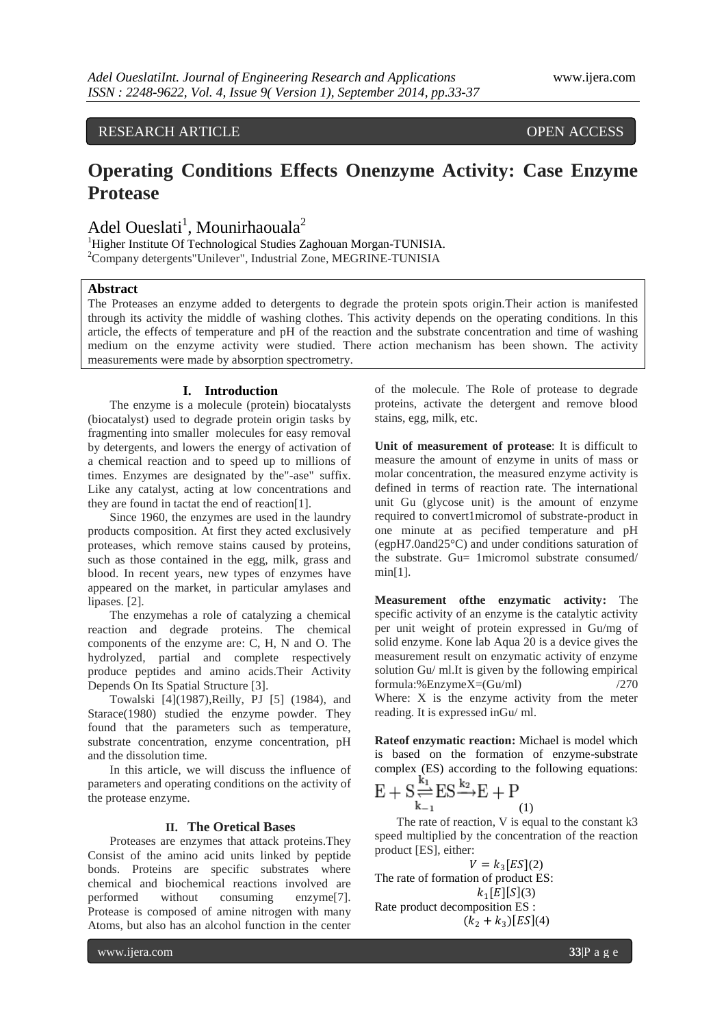**RESEARCH ARTICLE OPEN ACCESS** 

# **Operating Conditions Effects Onenzyme Activity: Case Enzyme Protease**

Adel Oueslati<sup>1</sup>, Mounirhaouala<sup>2</sup>

<sup>1</sup>Higher Institute Of Technological Studies Zaghouan Morgan-TUNISIA. <sup>2</sup>Company detergents"Unilever", Industrial Zone, MEGRINE-TUNISIA

# **Abstract**

The Proteases an enzyme added to detergents to degrade the protein spots origin.Their action is manifested through its activity the middle of washing clothes. This activity depends on the operating conditions. In this article, the effects of temperature and pH of the reaction and the substrate concentration and time of washing medium on the enzyme activity were studied. There action mechanism has been shown. The activity measurements were made by absorption spectrometry.

#### **I. Introduction**

The enzyme is a molecule (protein) biocatalysts (biocatalyst) used to degrade protein origin tasks by fragmenting into smaller molecules for easy removal by detergents, and lowers the energy of activation of a chemical reaction and to speed up to millions of times. Enzymes are designated by the"-ase" suffix. Like any catalyst, acting at low concentrations and they are found in tactat the end of reaction[1].

Since 1960, the enzymes are used in the laundry products composition. At first they acted exclusively proteases, which remove stains caused by proteins, such as those contained in the egg, milk, grass and blood. In recent years, new types of enzymes have appeared on the market, in particular amylases and lipases. [2].

The enzymehas a role of catalyzing a chemical reaction and degrade proteins. The chemical components of the enzyme are: C, H, N and O. The hydrolyzed, partial and complete respectively produce peptides and amino acids.Their Activity Depends On Its Spatial Structure [3].

Towalski [4](1987),Reilly, PJ [5] (1984), and Starace(1980) studied the enzyme powder. They found that the parameters such as temperature, substrate concentration, enzyme concentration, pH and the dissolution time.

In this article, we will discuss the influence of parameters and operating conditions on the activity of the protease enzyme.

## **II. The Oretical Bases**

Proteases are enzymes that attack proteins.They Consist of the amino acid units linked by peptide bonds. Proteins are specific substrates where chemical and biochemical reactions involved are performed without consuming enzyme[7]. Protease is composed of amine nitrogen with many Atoms, but also has an alcohol function in the center

of the molecule. The Role of protease to degrade proteins, activate the detergent and remove blood stains, egg, milk, etc.

**Unit of measurement of protease**: It is difficult to measure the amount of enzyme in units of mass or molar concentration, the measured enzyme activity is defined in terms of reaction rate. The international unit Gu (glycose unit) is the amount of enzyme required to convert1micromol of substrate-product in one minute at as pecified temperature and pH (egpH7.0and25°C) and under conditions saturation of the substrate. Gu= 1micromol substrate consumed/ min[1].

**Measurement ofthe enzymatic activity:** The specific activity of an enzyme is the catalytic activity per unit weight of protein expressed in Gu/mg of solid enzyme. Kone lab Aqua 20 is a device gives the measurement result on enzymatic activity of enzyme solution Gu/ ml.It is given by the following empirical formula:%Enzyme $X=(Gu/ml)$  /270 Where: X is the enzyme activity from the meter reading. It is expressed inGu/ ml.

**Rateof enzymatic reaction:** Michael is model which is based on the formation of enzyme-substrate complex (ES) according to the following equations:

$$
E + S \underset{k_{-1}}{\overset{\sum_{i}}{\rightleftharpoons}} ES \overset{\kappa_2}{\longrightarrow} E + P
$$

The rate of reaction, V is equal to the constant k3 speed multiplied by the concentration of the reaction product [ES], either:

 $V = k_3 [ES](2)$ The rate of formation of product ES:  $k_1[E][S](3)$ Rate product decomposition ES :  $(k_2 + k_3)[ES](4)$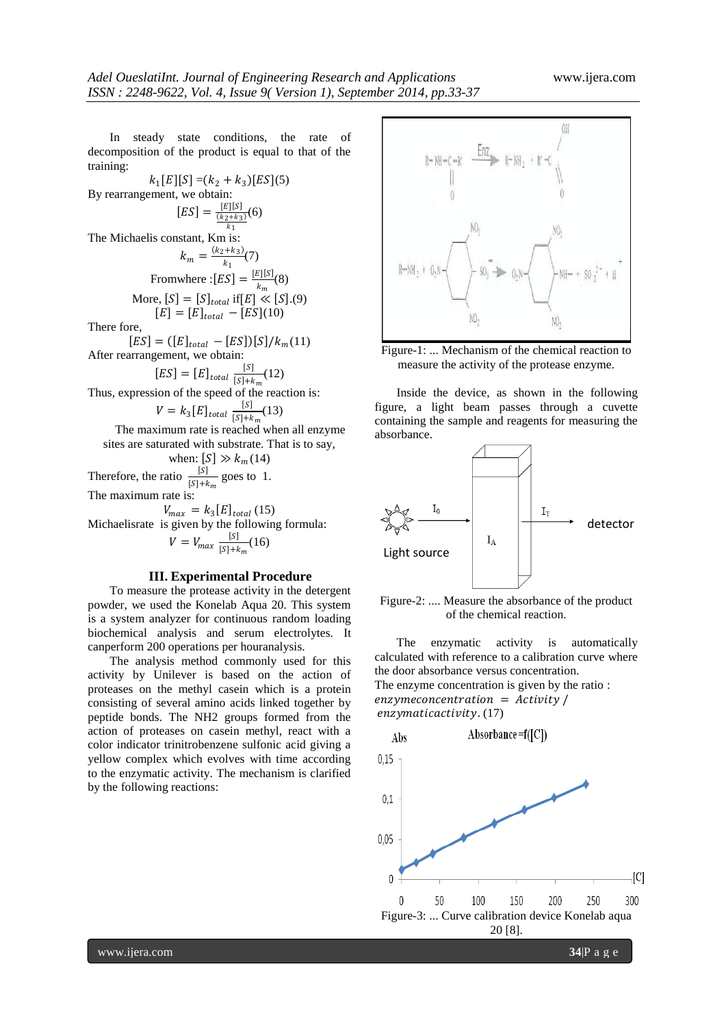In steady state conditions, the rate of decomposition of the product is equal to that of the training:

 $k_1[E][S] = (k_2 + k_3)[ES](5)$ By rearrangement, we obtain:  $[ES] = \frac{[E][S]}{(k_2 + k_2)}$  $(k_2+k_3)$  $_{k_1}$ (6) The Michaelis constant,  $Km$  is:  $k_m = \frac{(k_2 + k_3)}{k_3}$  $\frac{(7+1)(7)}{k_1}$ Fromwhere :  $[ES] = \frac{[E][S]}{k}$  $\frac{E[\mathbf{E}]}{k_m}(8)$ More,  $[S] = [S]_{total}$  if  $[E] \ll [S]$ .(9)  $[E] = [E]_{total} - [ES](10)$ There fore,  $[ES] = ([E]_{total} - [ES])[S]/k_m(11)$ After rearrangement, we obtain:  $[ES] = [E]_{total} \frac{[S]}{[S]+k}$  $\frac{13}{[S]+k_m}(12)$ Thus, expression of the speed of the reaction is:  $V = k_3 [E]_{total} \frac{[S]}{[S]+k}$  $\frac{13}{[S]+k_m}(13)$ The maximum rate is reached when all enzyme sites are saturated with substrate. That is to say, when:  $[S] \gg k_m(14)$ Therefore, the ratio  $\frac{[S]}{[S]+k_m}$  goes to 1. The maximum rate is:  $V_{max} = k_3 [E]_{total} (15)$ Michaelisrate is given by the following formula:  $V = V_{max} \frac{[S]}{[S]+k}$  $\frac{13}{[S]+k_m}(16)$ 

#### **III. Experimental Procedure**

To measure the protease activity in the detergent powder, we used the Konelab Aqua 20. This system is a system analyzer for continuous random loading biochemical analysis and serum electrolytes. It canperform 200 operations per houranalysis.

The analysis method commonly used for this activity by Unilever is based on the action of proteases on the methyl casein which is a protein consisting of several amino acids linked together by peptide bonds. The NH2 groups formed from the action of proteases on casein methyl, react with a color indicator trinitrobenzene sulfonic acid giving a yellow complex which evolves with time according to the enzymatic activity. The mechanism is clarified by the following reactions:



Figure-1: ... Mechanism of the chemical reaction to measure the activity of the protease enzyme.

Inside the device, as shown in the following figure, a light beam passes through a cuvette containing the sample and reagents for measuring the absorbance.



Figure-2: .... Measure the absorbance of the product of the chemical reaction.

The enzymatic activity is automatically calculated with reference to a calibration curve where the door absorbance versus concentration. The enzyme concentration is given by the ratio :  $enzymeconomic$  =  $Activity /$ enzymaticactivity. (17)

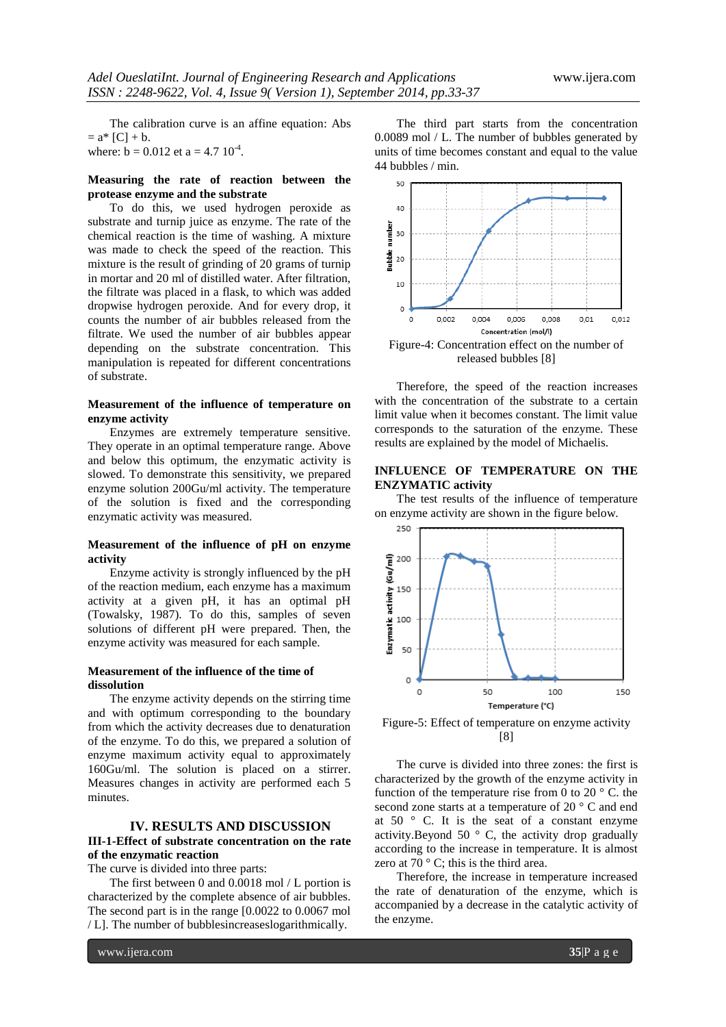The calibration curve is an affine equation: Abs  $= a^* [C] + b.$ where:  $b = 0.012$  et a = 4.7  $10^{-4}$ .

## **Measuring the rate of reaction between the protease enzyme and the substrate**

To do this, we used hydrogen peroxide as substrate and turnip juice as enzyme. The rate of the chemical reaction is the time of washing. A mixture was made to check the speed of the reaction. This mixture is the result of grinding of 20 grams of turnip in mortar and 20 ml of distilled water. After filtration, the filtrate was placed in a flask, to which was added dropwise hydrogen peroxide. And for every drop, it counts the number of air bubbles released from the filtrate. We used the number of air bubbles appear depending on the substrate concentration. This manipulation is repeated for different concentrations of substrate.

#### **Measurement of the influence of temperature on enzyme activity**

Enzymes are extremely temperature sensitive. They operate in an optimal temperature range. Above and below this optimum, the enzymatic activity is slowed. To demonstrate this sensitivity, we prepared enzyme solution 200Gu/ml activity. The temperature of the solution is fixed and the corresponding enzymatic activity was measured.

## **Measurement of the influence of pH on enzyme activity**

Enzyme activity is strongly influenced by the pH of the reaction medium, each enzyme has a maximum activity at a given pH, it has an optimal pH (Towalsky, 1987). To do this, samples of seven solutions of different pH were prepared. Then, the enzyme activity was measured for each sample.

#### **Measurement of the influence of the time of dissolution**

The enzyme activity depends on the stirring time and with optimum corresponding to the boundary from which the activity decreases due to denaturation of the enzyme. To do this, we prepared a solution of enzyme maximum activity equal to approximately 160Gu/ml. The solution is placed on a stirrer. Measures changes in activity are performed each 5 minutes.

#### **IV. RESULTS AND DISCUSSION**

## **III-1-Effect of substrate concentration on the rate of the enzymatic reaction**

The curve is divided into three parts:

The first between 0 and 0.0018 mol / L portion is characterized by the complete absence of air bubbles. The second part is in the range [0.0022 to 0.0067 mol / L]. The number of bubblesincreaseslogarithmically.

The third part starts from the concentration 0.0089 mol / L. The number of bubbles generated by units of time becomes constant and equal to the value 44 bubbles / min.



Therefore, the speed of the reaction increases with the concentration of the substrate to a certain limit value when it becomes constant. The limit value corresponds to the saturation of the enzyme. These results are explained by the model of Michaelis.

#### **INFLUENCE OF TEMPERATURE ON THE ENZYMATIC activity**

The test results of the influence of temperature on enzyme activity are shown in the figure below.



Figure-5: Effect of temperature on enzyme activity [8]

The curve is divided into three zones: the first is characterized by the growth of the enzyme activity in function of the temperature rise from 0 to 20 $\degree$  C. the second zone starts at a temperature of 20 ° C and end at 50 ° C. It is the seat of a constant enzyme activity.Beyond 50  $\degree$  C, the activity drop gradually according to the increase in temperature. It is almost zero at 70 $\degree$  C; this is the third area.

Therefore, the increase in temperature increased the rate of denaturation of the enzyme, which is accompanied by a decrease in the catalytic activity of the enzyme.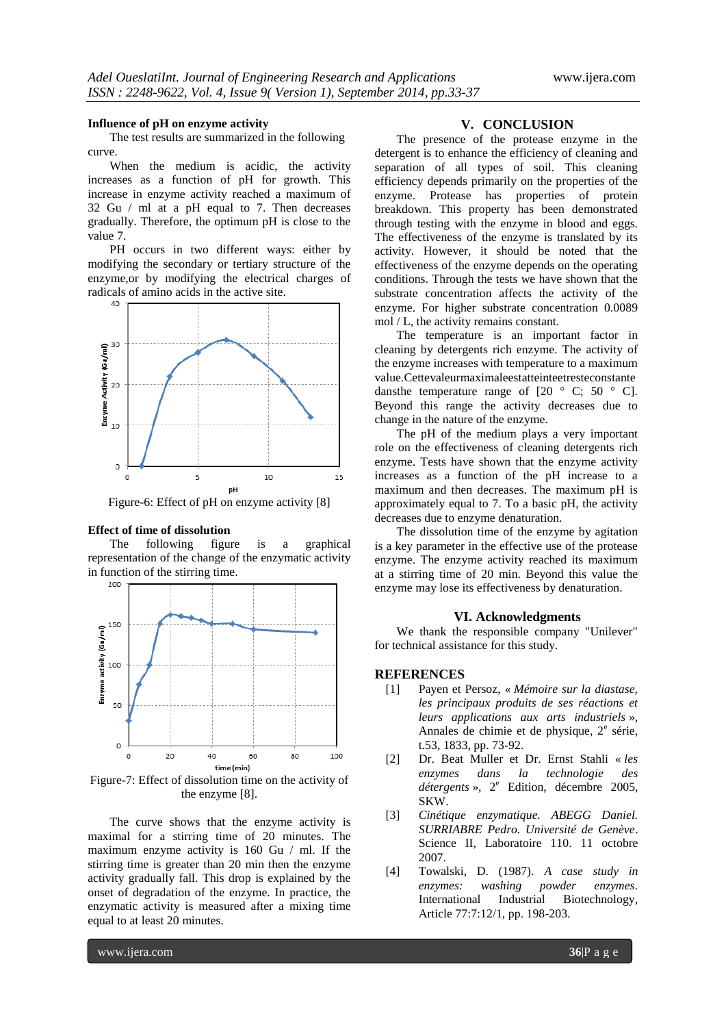#### **Influence of pH on enzyme activity**

The test results are summarized in the following curve.

When the medium is acidic, the activity increases as a function of pH for growth. This increase in enzyme activity reached a maximum of 32 Gu / ml at a pH equal to 7. Then decreases gradually. Therefore, the optimum pH is close to the value 7.

PH occurs in two different ways: either by modifying the secondary or tertiary structure of the enzyme,or by modifying the electrical charges of radicals of amino acids in the active site.



Figure-6: Effect of pH on enzyme activity [8]

#### **Effect of time of dissolution**

The following figure is a graphical representation of the change of the enzymatic activity in function of the stirring time.



Figure-7: Effect of dissolution time on the activity of the enzyme [8].

The curve shows that the enzyme activity is maximal for a stirring time of 20 minutes. The maximum enzyme activity is 160 Gu / ml. If the stirring time is greater than 20 min then the enzyme activity gradually fall. This drop is explained by the onset of degradation of the enzyme. In practice, the enzymatic activity is measured after a mixing time equal to at least 20 minutes.

#### **V. CONCLUSION**

The presence of the protease enzyme in the detergent is to enhance the efficiency of cleaning and separation of all types of soil. This cleaning efficiency depends primarily on the properties of the enzyme. Protease has properties of protein breakdown. This property has been demonstrated through testing with the enzyme in blood and eggs. The effectiveness of the enzyme is translated by its activity. However, it should be noted that the effectiveness of the enzyme depends on the operating conditions. Through the tests we have shown that the substrate concentration affects the activity of the enzyme. For higher substrate concentration 0.0089 mol / L, the activity remains constant.

The temperature is an important factor in cleaning by detergents rich enzyme. The activity of the enzyme increases with temperature to a maximum value.Cettevaleurmaximaleestatteinteetresteconstante dansthe temperature range of  $[20 \degree C; 50 \degree C]$ . Beyond this range the activity decreases due to change in the nature of the enzyme.

The pH of the medium plays a very important role on the effectiveness of cleaning detergents rich enzyme. Tests have shown that the enzyme activity increases as a function of the pH increase to a maximum and then decreases. The maximum pH is approximately equal to 7. To a basic pH, the activity decreases due to enzyme denaturation.

The dissolution time of the enzyme by agitation is a key parameter in the effective use of the protease enzyme. The enzyme activity reached its maximum at a stirring time of 20 min. Beyond this value the enzyme may lose its effectiveness by denaturation.

#### **VI. Acknowledgments**

We thank the responsible company "Unilever" for technical assistance for this study.

#### **REFERENCES**

- [1] Payen et Persoz, « *Mémoire sur la diastase, les principaux produits de ses réactions et leurs applications aux arts industriels* », Annales de chimie et de physique, 2<sup>e</sup> série, t.53, 1833, pp. 73-92.
- [2] Dr. Beat Muller et Dr. Ernst Stahli « *les enzymes dans la technologie des détergents* », 2<sup>e</sup> Edition, décembre 2005, SKW.
- [3] *Cinétique enzymatique. ABEGG Daniel. SURRIABRE Pedro. Université de Genève*. Science II, Laboratoire 110. 11 octobre 2007.
- [4] Towalski, D. (1987). *A case study in enzymes: washing powder enzymes*. International Industrial Biotechnology, Article 77:7:12/1, pp. 198-203.